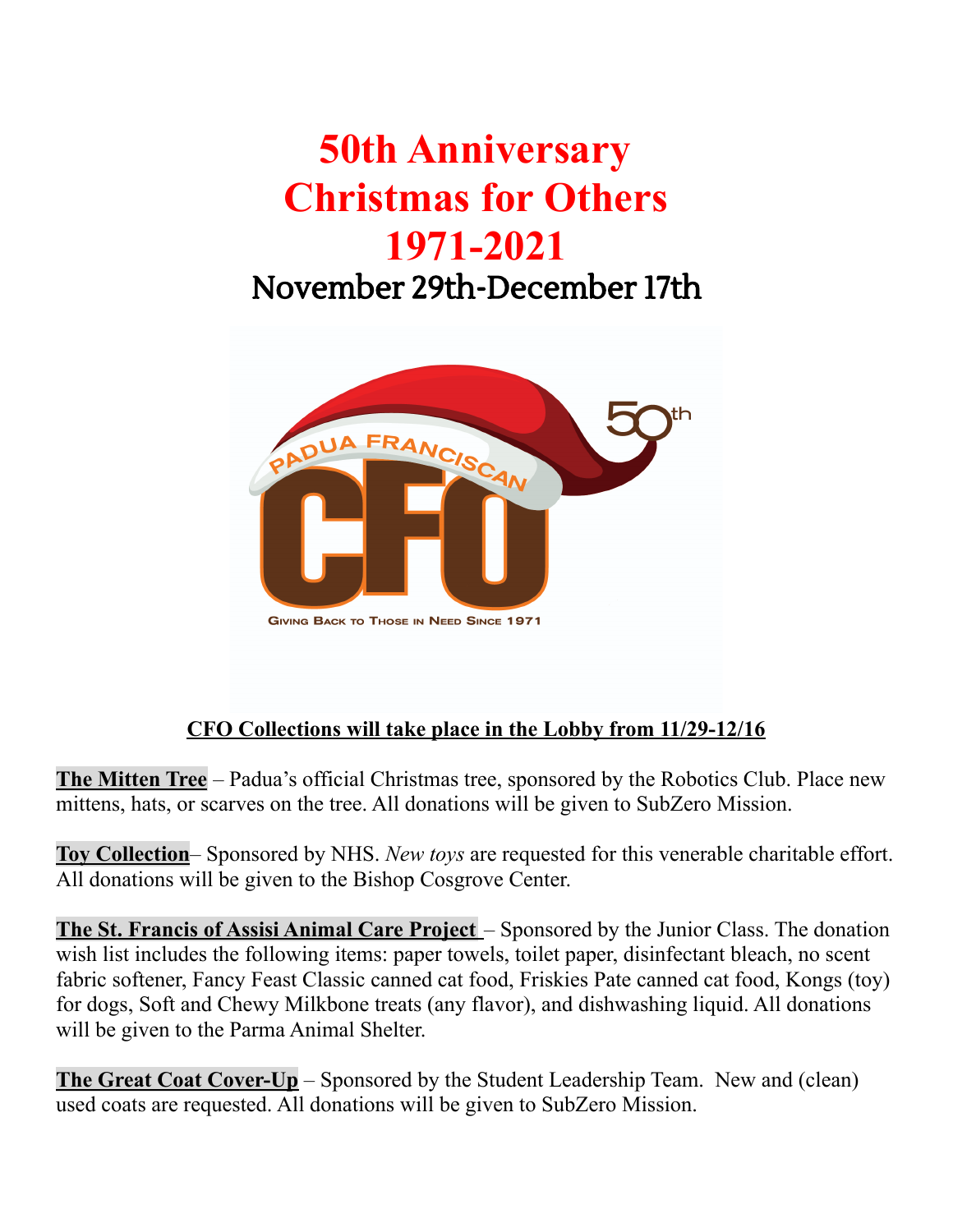## **50th Anniversary Christmas for Others 1971-2021** November 29th-December 17th



## **CFO Collections will take place in the Lobby from 11/29-12/16**

**The Mitten Tree** – Padua's official Christmas tree, sponsored by the Robotics Club. Place new mittens, hats, or scarves on the tree. All donations will be given to SubZero Mission.

**Toy Collection**– Sponsored by NHS. *New toys* are requested for this venerable charitable effort. All donations will be given to the Bishop Cosgrove Center.

**The St. Francis of Assisi Animal Care Project** – Sponsored by the Junior Class. The donation wish list includes the following items: paper towels, toilet paper, disinfectant bleach, no scent fabric softener, Fancy Feast Classic canned cat food, Friskies Pate canned cat food, Kongs (toy) for dogs, Soft and Chewy Milkbone treats (any flavor), and dishwashing liquid. All donations will be given to the Parma Animal Shelter.

**The Great Coat Cover-Up** – Sponsored by the Student Leadership Team. New and (clean) used coats are requested. All donations will be given to SubZero Mission.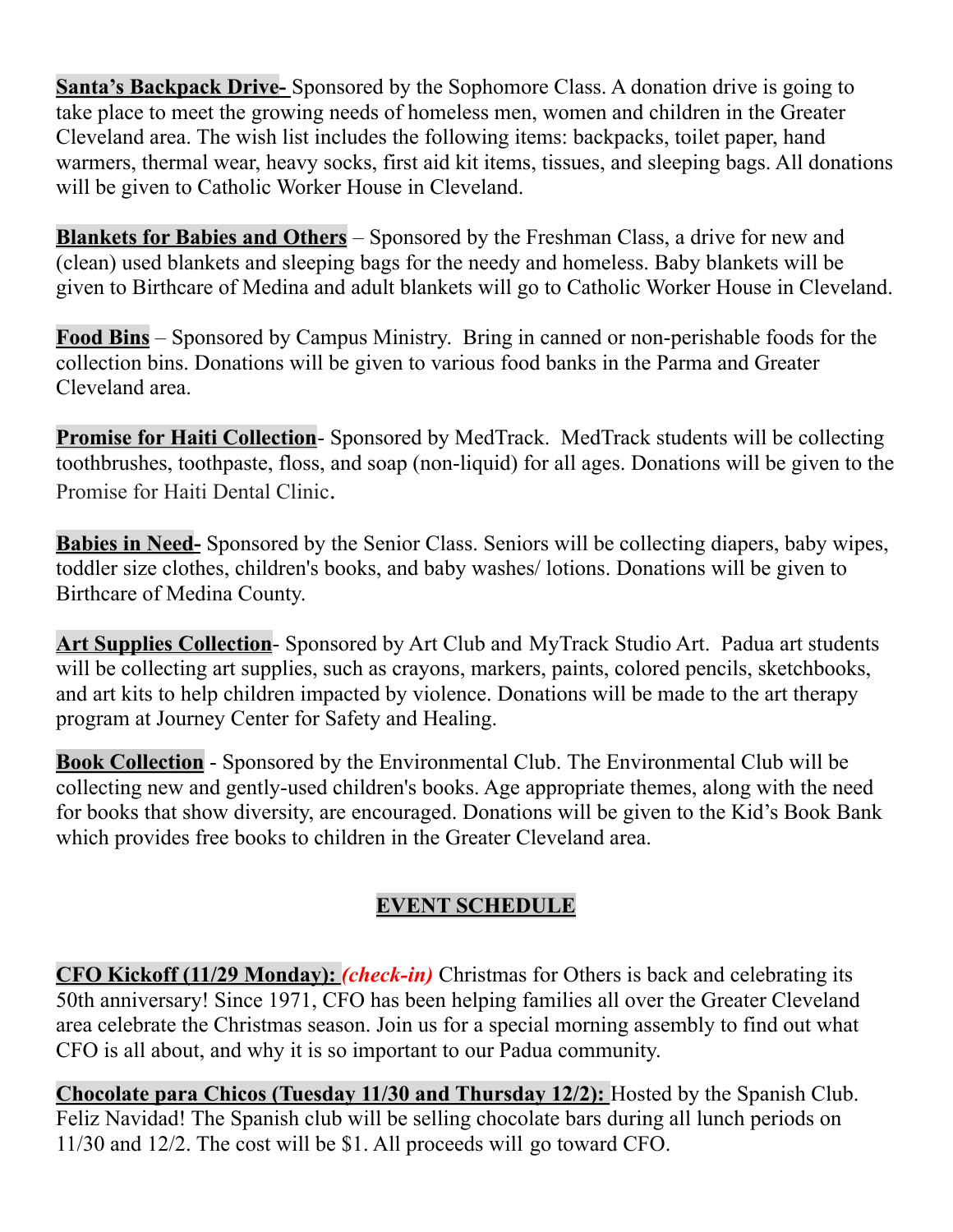**Santa's Backpack Drive-** Sponsored by the Sophomore Class. A donation drive is going to take place to meet the growing needs of homeless men, women and children in the Greater Cleveland area. The wish list includes the following items: backpacks, toilet paper, hand warmers, thermal wear, heavy socks, first aid kit items, tissues, and sleeping bags. All donations will be given to Catholic Worker House in Cleveland.

**Blankets for Babies and Others** – Sponsored by the Freshman Class, a drive for new and (clean) used blankets and sleeping bags for the needy and homeless. Baby blankets will be given to Birthcare of Medina and adult blankets will go to Catholic Worker House in Cleveland.

**Food Bins** – Sponsored by Campus Ministry. Bring in canned or non-perishable foods for the collection bins. Donations will be given to various food banks in the Parma and Greater Cleveland area.

**Promise for Haiti Collection**- Sponsored by MedTrack. MedTrack students will be collecting toothbrushes, toothpaste, floss, and soap (non-liquid) for all ages. Donations will be given to the Promise for Haiti Dental Clinic.

**Babies in Need-** Sponsored by the Senior Class. Seniors will be collecting diapers, baby wipes, toddler size clothes, children's books, and baby washes/ lotions. Donations will be given to Birthcare of Medina County.

**Art Supplies Collection**- Sponsored by Art Club and MyTrack Studio Art. Padua art students will be collecting art supplies, such as crayons, markers, paints, colored pencils, sketchbooks, and art kits to help children impacted by violence. Donations will be made to the art therapy program at Journey Center for Safety and Healing.

**Book Collection** - Sponsored by the Environmental Club. The Environmental Club will be collecting new and gently-used children's books. Age appropriate themes, along with the need for books that show diversity, are encouraged. Donations will be given to the Kid's Book Bank which provides free books to children in the Greater Cleveland area.

## **EVENT SCHEDULE**

**CFO Kickoff (11/29 Monday):** *(check-in)* Christmas for Others is back and celebrating its 50th anniversary! Since 1971, CFO has been helping families all over the Greater Cleveland area celebrate the Christmas season. Join us for a special morning assembly to find out what CFO is all about, and why it is so important to our Padua community.

**Chocolate para Chicos (Tuesday 11/30 and Thursday 12/2):** Hosted by the Spanish Club. Feliz Navidad! The Spanish club will be selling chocolate bars during all lunch periods on 11/30 and 12/2. The cost will be \$1. All proceeds will go toward CFO.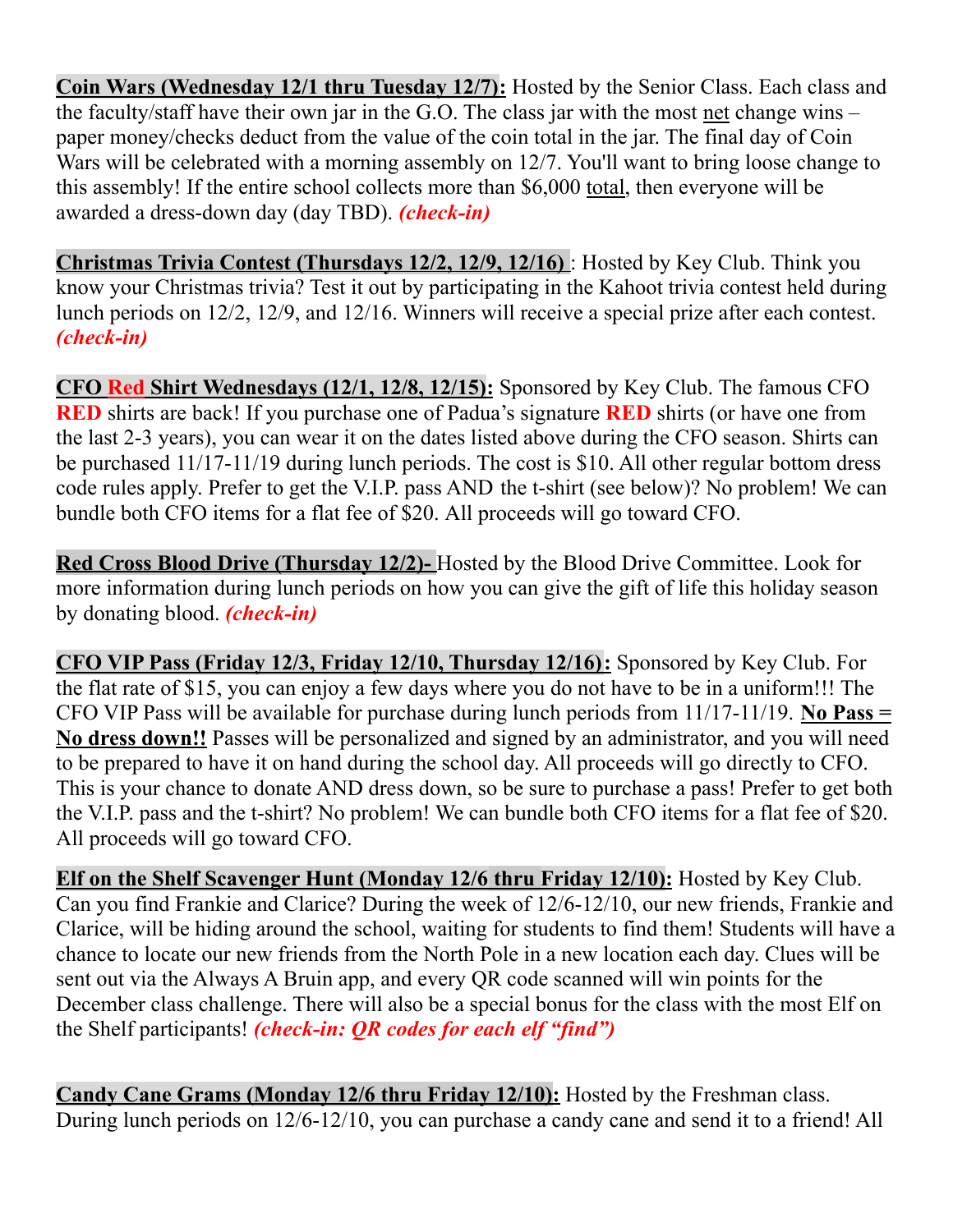**Coin Wars (Wednesday 12/1 thru Tuesday 12/7):** Hosted by the Senior Class. Each class and the faculty/staff have their own jar in the G.O. The class jar with the most net change wins – paper money/checks deduct from the value of the coin total in the jar. The final day of Coin Wars will be celebrated with a morning assembly on 12/7. You'll want to bring loose change to this assembly! If the entire school collects more than \$6,000 total, then everyone will be awarded a dress-down day (day TBD). *(check-in)*

**Christmas Trivia Contest (Thursdays 12/2, 12/9, 12/16)** : Hosted by Key Club. Think you know your Christmas trivia? Test it out by participating in the Kahoot trivia contest held during lunch periods on 12/2, 12/9, and 12/16. Winners will receive a special prize after each contest. *(check-in)*

**CFO Red Shirt Wednesdays (12/1, 12/8, 12/15):** Sponsored by Key Club. The famous CFO **RED** shirts are back! If you purchase one of Padua's signature **RED** shirts (or have one from the last 2-3 years), you can wear it on the dates listed above during the CFO season. Shirts can be purchased 11/17-11/19 during lunch periods. The cost is \$10. All other regular bottom dress code rules apply. Prefer to get the V.I.P. pass AND the t-shirt (see below)? No problem! We can bundle both CFO items for a flat fee of \$20. All proceeds will go toward CFO.

**Red Cross Blood Drive (Thursday 12/2)-** Hosted by the Blood Drive Committee. Look for more information during lunch periods on how you can give the gift of life this holiday season by donating blood. *(check-in)*

**CFO VIP Pass (Friday 12/3, Friday 12/10, Thursday 12/16):** Sponsored by Key Club. For the flat rate of \$15, you can enjoy a few days where you do not have to be in a uniform!!! The CFO VIP Pass will be available for purchase during lunch periods from 11/17-11/19. **No Pass = No dress down!!** Passes will be personalized and signed by an administrator, and you will need to be prepared to have it on hand during the school day. All proceeds will go directly to CFO. This is your chance to donate AND dress down, so be sure to purchase a pass! Prefer to get both the V.I.P. pass and the t-shirt? No problem! We can bundle both CFO items for a flat fee of \$20. All proceeds will go toward CFO.

**Elf on the Shelf Scavenger Hunt (Monday 12/6 thru Friday 12/10):** Hosted by Key Club. Can you find Frankie and Clarice? During the week of 12/6-12/10, our new friends, Frankie and Clarice, will be hiding around the school, waiting for students to find them! Students will have a chance to locate our new friends from the North Pole in a new location each day. Clues will be sent out via the Always A Bruin app, and every QR code scanned will win points for the December class challenge. There will also be a special bonus for the class with the most Elf on the Shelf participants! *(check-in: QR codes for each elf "find")*

**Candy Cane Grams (Monday 12/6 thru Friday 12/10):** Hosted by the Freshman class. During lunch periods on 12/6-12/10, you can purchase a candy cane and send it to a friend! All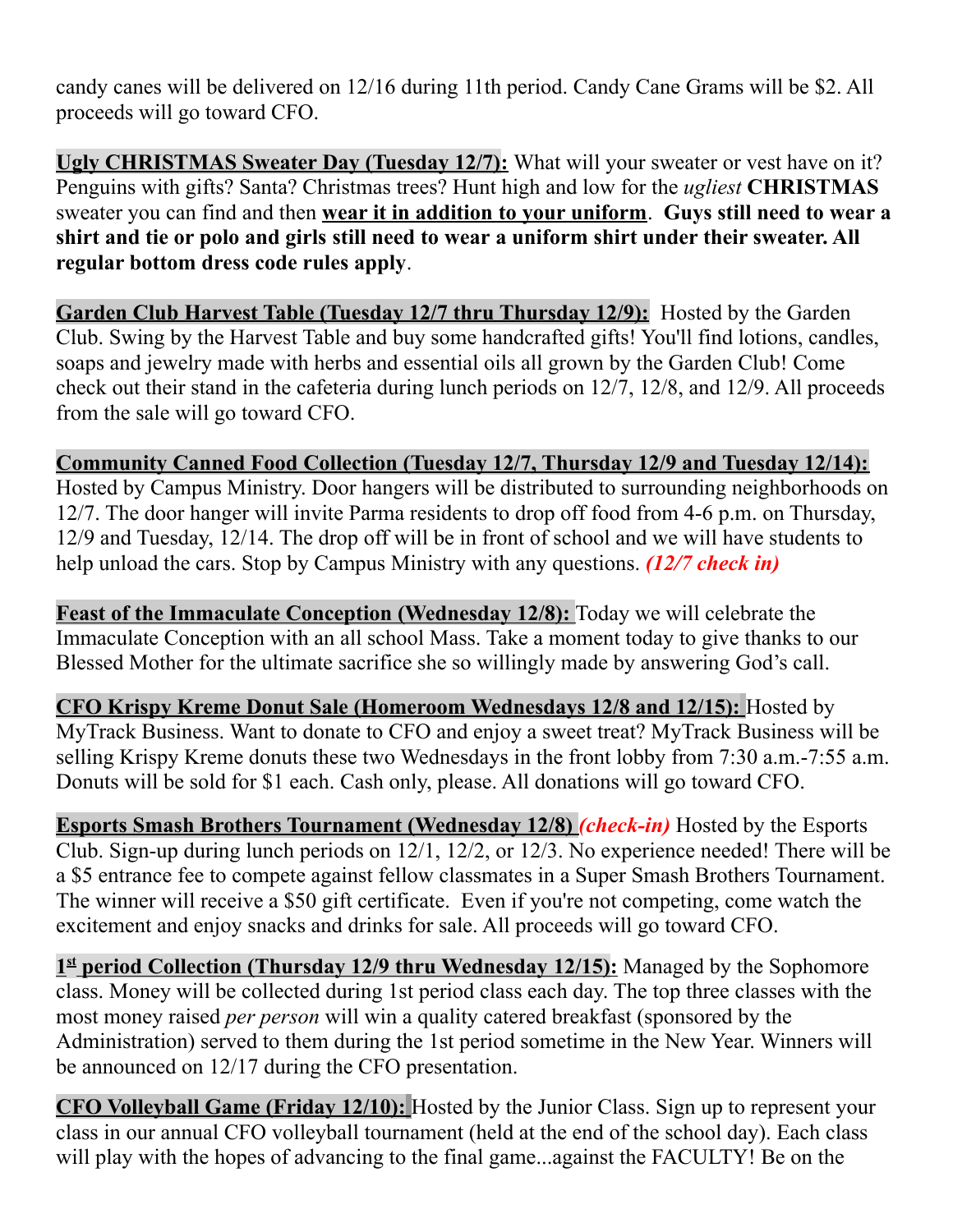candy canes will be delivered on 12/16 during 11th period. Candy Cane Grams will be \$2. All proceeds will go toward CFO.

**Ugly CHRISTMAS Sweater Day (Tuesday 12/7):** What will your sweater or vest have on it? Penguins with gifts? Santa? Christmas trees? Hunt high and low for the *ugliest* **CHRISTMAS** sweater you can find and then **wear it in addition to your uniform**. **Guys still need to wear a shirt and tie or polo and girls still need to wear a uniform shirt under their sweater. All regular bottom dress code rules apply**.

**Garden Club Harvest Table (Tuesday 12/7 thru Thursday 12/9):** Hosted by the Garden Club. Swing by the Harvest Table and buy some handcrafted gifts! You'll find lotions, candles, soaps and jewelry made with herbs and essential oils all grown by the Garden Club! Come check out their stand in the cafeteria during lunch periods on 12/7, 12/8, and 12/9. All proceeds from the sale will go toward CFO.

**Community Canned Food Collection (Tuesday 12/7, Thursday 12/9 and Tuesday 12/14):** Hosted by Campus Ministry. Door hangers will be distributed to surrounding neighborhoods on 12/7. The door hanger will invite Parma residents to drop off food from 4-6 p.m. on Thursday, 12/9 and Tuesday, 12/14. The drop off will be in front of school and we will have students to help unload the cars. Stop by Campus Ministry with any questions. *(12/7 check in)*

**Feast of the Immaculate Conception (Wednesday 12/8):** Today we will celebrate the Immaculate Conception with an all school Mass. Take a moment today to give thanks to our Blessed Mother for the ultimate sacrifice she so willingly made by answering God's call.

**CFO Krispy Kreme Donut Sale (Homeroom Wednesdays 12/8 and 12/15):** Hosted by MyTrack Business. Want to donate to CFO and enjoy a sweet treat? MyTrack Business will be selling Krispy Kreme donuts these two Wednesdays in the front lobby from 7:30 a.m.-7:55 a.m. Donuts will be sold for \$1 each. Cash only, please. All donations will go toward CFO.

**Esports Smash Brothers Tournament (Wednesday 12/8)** *(check-in)* Hosted by the Esports Club. Sign-up during lunch periods on 12/1, 12/2, or 12/3. No experience needed! There will be a \$5 entrance fee to compete against fellow classmates in a Super Smash Brothers Tournament. The winner will receive a \$50 gift certificate. Even if you're not competing, come watch the excitement and enjoy snacks and drinks for sale. All proceeds will go toward CFO.

**1 st period Collection (Thursday 12/9 thru Wednesday 12/15):** Managed by the Sophomore class. Money will be collected during 1st period class each day. The top three classes with the most money raised *per person* will win a quality catered breakfast (sponsored by the Administration) served to them during the 1st period sometime in the New Year. Winners will be announced on 12/17 during the CFO presentation.

**CFO Volleyball Game (Friday 12/10):** Hosted by the Junior Class. Sign up to represent your class in our annual CFO volleyball tournament (held at the end of the school day). Each class will play with the hopes of advancing to the final game...against the FACULTY! Be on the